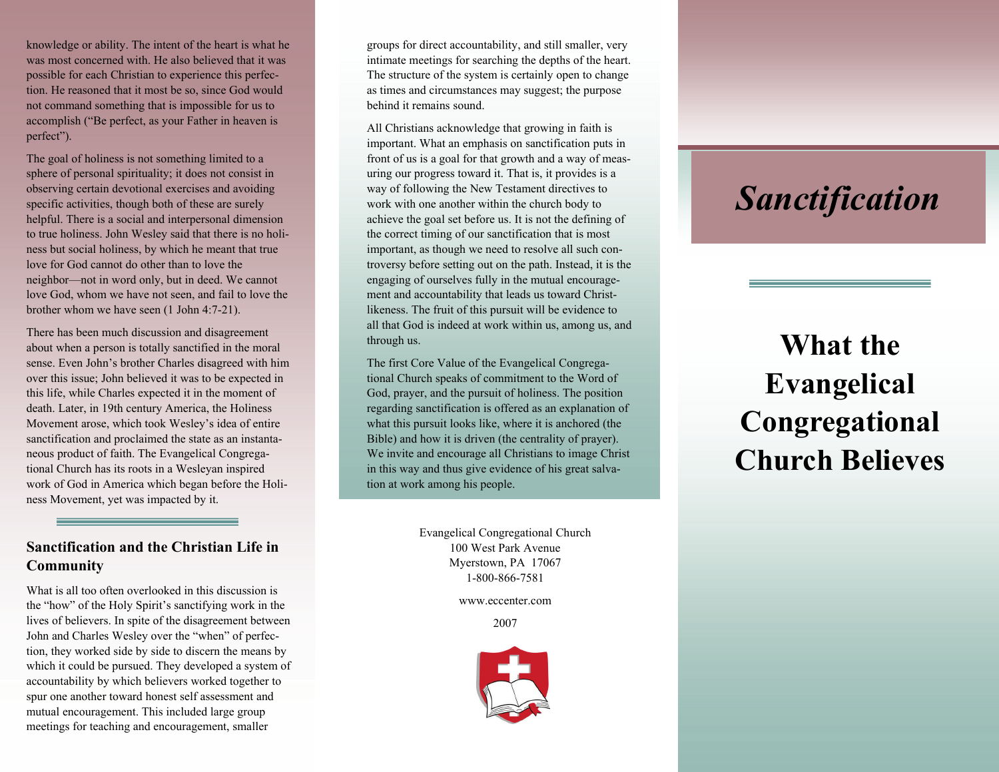knowledge or ability. The intent of the heart is what he was most concerned with. He also believed that it was possible for each Christian to experience this perfection. He reasoned that it most be so, since God would not command something that is impossible for us to accomplish ("Be perfect, as your Father in heaven is perfect").

The goal of holiness is not something limited to a sphere of personal spirituality; it does not consist in observing certain devotional exercises and avoiding specific activities, though both of these are surely helpful. There is a social and interpersonal dimension to true holiness. John Wesley said that there is no holiness but social holiness, by which he meant that true love for God cannot do other than to love the neighbor—not in word only, but in deed. We cannot love God, whom we have not seen, and fail to love the brother whom we have seen (1 John 4:7-21).

There has been much discussion and disagreement about when a person is totally sanctified in the moral sense. Even John's brother Charles disagreed with him over this issue; John believed it was to be expected in this life, while Charles expected it in the moment of death. Later, in 19th century America, the Holiness Movement arose, which took Wesley's idea of entire sanctification and proclaimed the state as an instantaneous product of faith. The Evangelical Congregational Church has its roots in a Wesleyan inspired work of God in America which began before the Holiness Movement, yet was impacted by it.

# **Sanctification and the Christian Life in Community**

What is all too often overlooked in this discussion is the "how" of the Holy Spirit's sanctifying work in the lives of believers. In spite of the disagreement between John and Charles Wesley over the "when" of perfection, they worked side by side to discern the means by which it could be pursued. They developed a system of accountability by which believers worked together to spur one another toward honest self assessment and mutual encouragement. This included large group meetings for teaching and encouragement, smaller

groups for direct accountability, and still smaller, very intimate meetings for searching the depths of the heart. The structure of the system is certainly open to change as times and circumstances may suggest; the purpose behind it remains sound.

All Christians acknowledge that growing in faith is important. What an emphasis on sanctification puts in front of us is a goal for that growth and a way of measuring our progress toward it. That is, it provides is a way of following the New Testament directives to work with one another within the church body to achieve the goal set before us. It is not the defining of the correct timing of our sanctification that is most important, as though we need to resolve all such controversy before setting out on the path. Instead, it is the engaging of ourselves fully in the mutual encouragement and accountability that leads us toward Christlikeness. The fruit of this pursuit will be evidence to all that God is indeed at work within us, among us, and through us.

The first Core Value of the Evangelical Congregational Church speaks of commitment to the Word of God, prayer, and the pursuit of holiness. The position regarding sanctification is offered as an explanation of what this pursuit looks like, where it is anchored (the Bible) and how it is driven (the centrality of prayer). We invite and encourage all Christians to image Christ in this way and thus give evidence of his great salvation at work among his people.

> Evangelical Congregational Church 100 West Park Avenue Myerstown, PA 17067 1-800-866-7581

> > www.eccenter.com

2007



# *Sanctification*

# **What the Evangelical Congregational Church Believes**